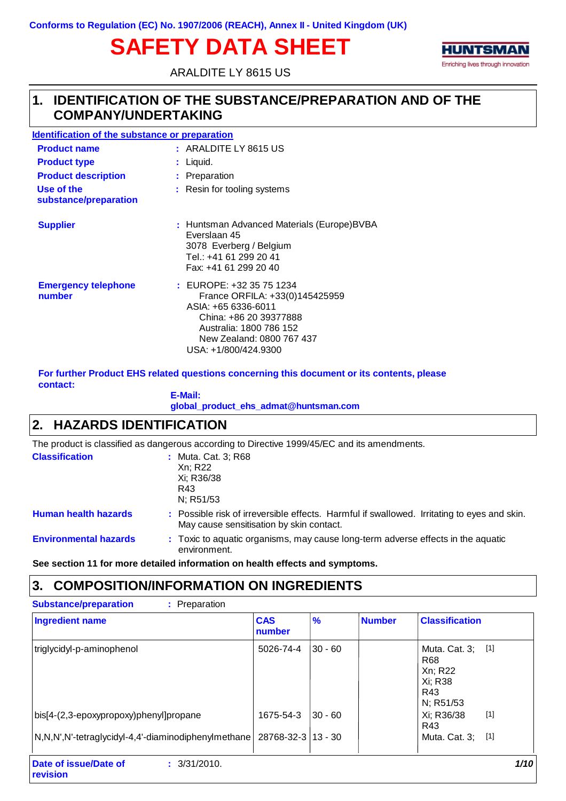# **SAFETY DATA SHEET**



ARALDITE LY 8615 US

### **IDENTIFICATION OF THE SUBSTANCE/PREPARATION AND OF THE 1. COMPANY/UNDERTAKING**

| <b>Identification of the substance or preparation</b> |                                                                                                                                                                                                 |
|-------------------------------------------------------|-------------------------------------------------------------------------------------------------------------------------------------------------------------------------------------------------|
| <b>Product name</b>                                   | $:$ ARALDITE LY 8615 US                                                                                                                                                                         |
| <b>Product type</b>                                   | $:$ Liquid.                                                                                                                                                                                     |
| <b>Product description</b>                            | : Preparation                                                                                                                                                                                   |
| Use of the<br>substance/preparation                   | : Resin for tooling systems                                                                                                                                                                     |
| <b>Supplier</b>                                       | : Huntsman Advanced Materials (Europe)BVBA<br>Everslaan 45<br>3078 Everberg / Belgium<br>Tel.: +41 61 299 20 41<br>Fax: +41 61 299 20 40                                                        |
| <b>Emergency telephone</b><br>number                  | $:$ EUROPE: $+32.35.75.1234$<br>France ORFILA: +33(0)145425959<br>ASIA: +65 6336-6011<br>China: +86 20 39377888<br>Australia: 1800 786 152<br>New Zealand: 0800 767 437<br>USA: +1/800/424.9300 |

**For further Product EHS related questions concerning this document or its contents, please contact:**

#### **E-Mail: global\_product\_ehs\_admat@huntsman.com**

### **2. HAZARDS IDENTIFICATION**

The product is classified as dangerous according to Directive 1999/45/EC and its amendments.

| <b>Classification</b>        | : Muta. Cat. 3; R68<br>Xn; R22<br>Xi; R36/38<br>R43<br>N; R51/53                                                                        |
|------------------------------|-----------------------------------------------------------------------------------------------------------------------------------------|
| <b>Human health hazards</b>  | : Possible risk of irreversible effects. Harmful if swallowed. Irritating to eyes and skin.<br>May cause sensitisation by skin contact. |
| <b>Environmental hazards</b> | : Toxic to aquatic organisms, may cause long-term adverse effects in the aquatic<br>environment.                                        |

**See section 11 for more detailed information on health effects and symptoms.**

### **3. COMPOSITION/INFORMATION ON INGREDIENTS**

| <b>Ingredient name</b>                                   | <b>CAS</b><br>number | $\frac{9}{6}$ | <b>Number</b> | <b>Classification</b>                                                          |      |
|----------------------------------------------------------|----------------------|---------------|---------------|--------------------------------------------------------------------------------|------|
| triglycidyl-p-aminophenol                                | 5026-74-4            | $30 - 60$     |               | Muta. Cat. 3; [1]<br>R <sub>68</sub><br>Xn; R22<br>Xi: R38<br>R43<br>N; R51/53 |      |
| bis[4-(2,3-epoxypropoxy)phenyl]propane                   | 1675-54-3            | $30 - 60$     |               | $[1]$<br>Xi; R36/38<br>R43                                                     |      |
| N,N,N',N'-tetraglycidyl-4,4'-diaminodiphenylmethane      | 28768-32-3   13 - 30 |               |               | Muta. Cat. 3; [1]                                                              |      |
| Date of issue/Date of<br>: 3/31/2010.<br><b>revision</b> |                      |               |               |                                                                                | 1/10 |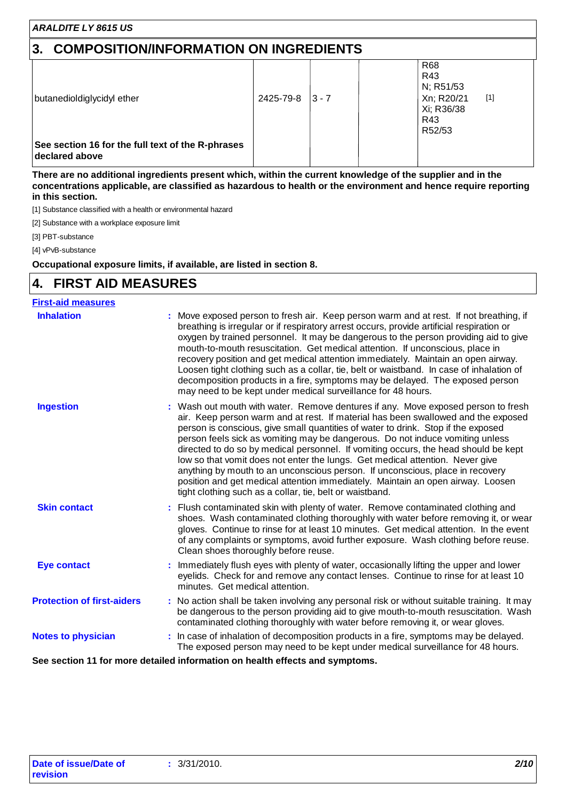# **3. COMPOSITION/INFORMATION ON INGREDIENTS**

| butanedioldiglycidyl ether                                          | 2425-79-8 | $ 3 - 7 $ | <b>R68</b><br>R43<br>N; R51/53<br>$[1]$<br>Xn; R20/21<br>Xi; R36/38<br>R43<br>R52/53 |  |
|---------------------------------------------------------------------|-----------|-----------|--------------------------------------------------------------------------------------|--|
| See section 16 for the full text of the R-phrases<br>declared above |           |           |                                                                                      |  |

**There are no additional ingredients present which, within the current knowledge of the supplier and in the concentrations applicable, are classified as hazardous to health or the environment and hence require reporting in this section.**

[1] Substance classified with a health or environmental hazard

[2] Substance with a workplace exposure limit

[3] PBT-substance

[4] vPvB-substance

**Occupational exposure limits, if available, are listed in section 8.**

#### **4. FIRST AID MEASURES**

| <b>First-aid measures</b>         |                                                                                                                                                                                                                                                                                                                                                                                                                                                                                                                                                                                                                                                                                                                                                      |
|-----------------------------------|------------------------------------------------------------------------------------------------------------------------------------------------------------------------------------------------------------------------------------------------------------------------------------------------------------------------------------------------------------------------------------------------------------------------------------------------------------------------------------------------------------------------------------------------------------------------------------------------------------------------------------------------------------------------------------------------------------------------------------------------------|
| <b>Inhalation</b>                 | Move exposed person to fresh air. Keep person warm and at rest. If not breathing, if<br>breathing is irregular or if respiratory arrest occurs, provide artificial respiration or<br>oxygen by trained personnel. It may be dangerous to the person providing aid to give<br>mouth-to-mouth resuscitation. Get medical attention. If unconscious, place in<br>recovery position and get medical attention immediately. Maintain an open airway.<br>Loosen tight clothing such as a collar, tie, belt or waistband. In case of inhalation of<br>decomposition products in a fire, symptoms may be delayed. The exposed person<br>may need to be kept under medical surveillance for 48 hours.                                                         |
| <b>Ingestion</b>                  | : Wash out mouth with water. Remove dentures if any. Move exposed person to fresh<br>air. Keep person warm and at rest. If material has been swallowed and the exposed<br>person is conscious, give small quantities of water to drink. Stop if the exposed<br>person feels sick as vomiting may be dangerous. Do not induce vomiting unless<br>directed to do so by medical personnel. If vomiting occurs, the head should be kept<br>low so that vomit does not enter the lungs. Get medical attention. Never give<br>anything by mouth to an unconscious person. If unconscious, place in recovery<br>position and get medical attention immediately. Maintain an open airway. Loosen<br>tight clothing such as a collar, tie, belt or waistband. |
| <b>Skin contact</b>               | : Flush contaminated skin with plenty of water. Remove contaminated clothing and<br>shoes. Wash contaminated clothing thoroughly with water before removing it, or wear<br>gloves. Continue to rinse for at least 10 minutes. Get medical attention. In the event<br>of any complaints or symptoms, avoid further exposure. Wash clothing before reuse.<br>Clean shoes thoroughly before reuse.                                                                                                                                                                                                                                                                                                                                                      |
| <b>Eye contact</b>                | Immediately flush eyes with plenty of water, occasionally lifting the upper and lower<br>eyelids. Check for and remove any contact lenses. Continue to rinse for at least 10<br>minutes. Get medical attention.                                                                                                                                                                                                                                                                                                                                                                                                                                                                                                                                      |
| <b>Protection of first-aiders</b> | : No action shall be taken involving any personal risk or without suitable training. It may<br>be dangerous to the person providing aid to give mouth-to-mouth resuscitation. Wash<br>contaminated clothing thoroughly with water before removing it, or wear gloves.                                                                                                                                                                                                                                                                                                                                                                                                                                                                                |
| <b>Notes to physician</b>         | : In case of inhalation of decomposition products in a fire, symptoms may be delayed.<br>The exposed person may need to be kept under medical surveillance for 48 hours.<br>a chatallach le fanns athans an baile bha affaith ann chann                                                                                                                                                                                                                                                                                                                                                                                                                                                                                                              |
| a a a tha an Aldh Baile a         |                                                                                                                                                                                                                                                                                                                                                                                                                                                                                                                                                                                                                                                                                                                                                      |

**See section 11 for more detailed information on health effects and symptoms.**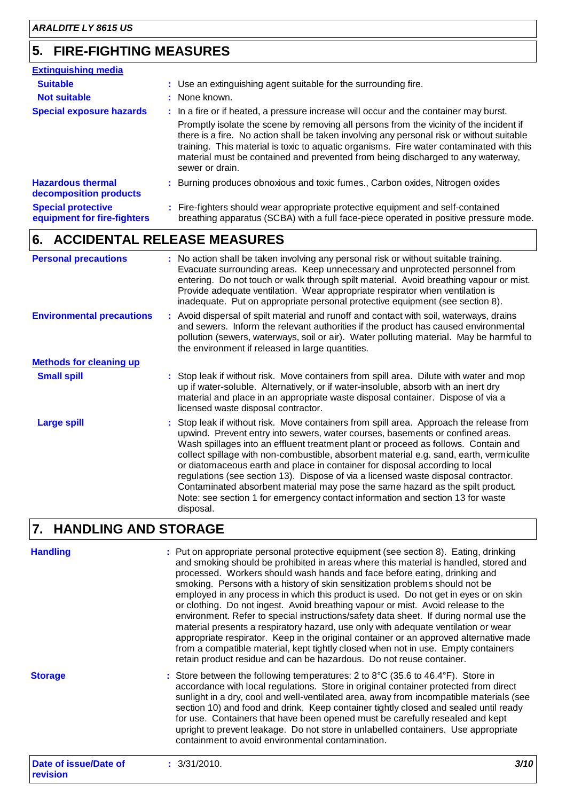# **5. FIRE-FIGHTING MEASURES**

| <b>Extinguishing media</b>                               |                                                                                                                                                                                                                                                                                                                                                                                                                                                                                 |
|----------------------------------------------------------|---------------------------------------------------------------------------------------------------------------------------------------------------------------------------------------------------------------------------------------------------------------------------------------------------------------------------------------------------------------------------------------------------------------------------------------------------------------------------------|
| <b>Suitable</b><br><b>Not suitable</b>                   | : Use an extinguishing agent suitable for the surrounding fire.<br>: None known.                                                                                                                                                                                                                                                                                                                                                                                                |
| <b>Special exposure hazards</b>                          | : In a fire or if heated, a pressure increase will occur and the container may burst.<br>Promptly isolate the scene by removing all persons from the vicinity of the incident if<br>there is a fire. No action shall be taken involving any personal risk or without suitable<br>training. This material is toxic to aquatic organisms. Fire water contaminated with this<br>material must be contained and prevented from being discharged to any waterway,<br>sewer or drain. |
| <b>Hazardous thermal</b><br>decomposition products       | : Burning produces obnoxious and toxic fumes., Carbon oxides, Nitrogen oxides                                                                                                                                                                                                                                                                                                                                                                                                   |
| <b>Special protective</b><br>equipment for fire-fighters | : Fire-fighters should wear appropriate protective equipment and self-contained<br>breathing apparatus (SCBA) with a full face-piece operated in positive pressure mode.                                                                                                                                                                                                                                                                                                        |

# **6. ACCIDENTAL RELEASE MEASURES**

| <b>Personal precautions</b>      | : No action shall be taken involving any personal risk or without suitable training.<br>Evacuate surrounding areas. Keep unnecessary and unprotected personnel from<br>entering. Do not touch or walk through spilt material. Avoid breathing vapour or mist.<br>Provide adequate ventilation. Wear appropriate respirator when ventilation is<br>inadequate. Put on appropriate personal protective equipment (see section 8).                                                                                                                                                                                                                                                                                   |
|----------------------------------|-------------------------------------------------------------------------------------------------------------------------------------------------------------------------------------------------------------------------------------------------------------------------------------------------------------------------------------------------------------------------------------------------------------------------------------------------------------------------------------------------------------------------------------------------------------------------------------------------------------------------------------------------------------------------------------------------------------------|
| <b>Environmental precautions</b> | : Avoid dispersal of spilt material and runoff and contact with soil, waterways, drains<br>and sewers. Inform the relevant authorities if the product has caused environmental<br>pollution (sewers, waterways, soil or air). Water polluting material. May be harmful to<br>the environment if released in large quantities.                                                                                                                                                                                                                                                                                                                                                                                     |
| <b>Methods for cleaning up</b>   |                                                                                                                                                                                                                                                                                                                                                                                                                                                                                                                                                                                                                                                                                                                   |
| <b>Small spill</b>               | : Stop leak if without risk. Move containers from spill area. Dilute with water and mop<br>up if water-soluble. Alternatively, or if water-insoluble, absorb with an inert dry<br>material and place in an appropriate waste disposal container. Dispose of via a<br>licensed waste disposal contractor.                                                                                                                                                                                                                                                                                                                                                                                                          |
| <b>Large spill</b>               | : Stop leak if without risk. Move containers from spill area. Approach the release from<br>upwind. Prevent entry into sewers, water courses, basements or confined areas.<br>Wash spillages into an effluent treatment plant or proceed as follows. Contain and<br>collect spillage with non-combustible, absorbent material e.g. sand, earth, vermiculite<br>or diatomaceous earth and place in container for disposal according to local<br>regulations (see section 13). Dispose of via a licensed waste disposal contractor.<br>Contaminated absorbent material may pose the same hazard as the spilt product.<br>Note: see section 1 for emergency contact information and section 13 for waste<br>disposal. |

### **HANDLING AND STORAGE 7.**

| <b>Handling</b>       | : Put on appropriate personal protective equipment (see section 8). Eating, drinking<br>and smoking should be prohibited in areas where this material is handled, stored and<br>processed. Workers should wash hands and face before eating, drinking and<br>smoking. Persons with a history of skin sensitization problems should not be<br>employed in any process in which this product is used. Do not get in eyes or on skin<br>or clothing. Do not ingest. Avoid breathing vapour or mist. Avoid release to the<br>environment. Refer to special instructions/safety data sheet. If during normal use the<br>material presents a respiratory hazard, use only with adequate ventilation or wear<br>appropriate respirator. Keep in the original container or an approved alternative made<br>from a compatible material, kept tightly closed when not in use. Empty containers<br>retain product residue and can be hazardous. Do not reuse container. |
|-----------------------|--------------------------------------------------------------------------------------------------------------------------------------------------------------------------------------------------------------------------------------------------------------------------------------------------------------------------------------------------------------------------------------------------------------------------------------------------------------------------------------------------------------------------------------------------------------------------------------------------------------------------------------------------------------------------------------------------------------------------------------------------------------------------------------------------------------------------------------------------------------------------------------------------------------------------------------------------------------|
| <b>Storage</b>        | : Store between the following temperatures: 2 to $8^{\circ}$ C (35.6 to 46.4 $^{\circ}$ F). Store in<br>accordance with local regulations. Store in original container protected from direct<br>sunlight in a dry, cool and well-ventilated area, away from incompatible materials (see<br>section 10) and food and drink. Keep container tightly closed and sealed until ready<br>for use. Containers that have been opened must be carefully resealed and kept<br>upright to prevent leakage. Do not store in unlabelled containers. Use appropriate<br>containment to avoid environmental contamination.                                                                                                                                                                                                                                                                                                                                                  |
| Date of issue/Date of | : 3/31/2010.<br>3/10 I                                                                                                                                                                                                                                                                                                                                                                                                                                                                                                                                                                                                                                                                                                                                                                                                                                                                                                                                       |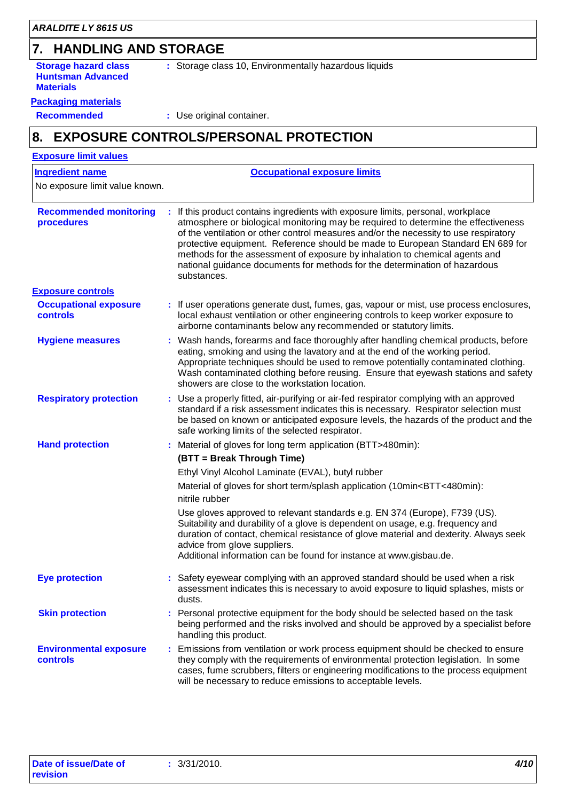# **7. HANDLING AND STORAGE**

**Storage hazard class Huntsman Advanced Materials**

**:** Storage class 10, Environmentally hazardous liquids

#### **Packaging materials**

**Recommended :** Use original container.

# **8. EXPOSURE CONTROLS/PERSONAL PROTECTION**

| <b>Ingredient name</b>                           | <b>Occupational exposure limits</b>                                                                                                                                                                                                                                                                                                                                                                                                                                                                                          |
|--------------------------------------------------|------------------------------------------------------------------------------------------------------------------------------------------------------------------------------------------------------------------------------------------------------------------------------------------------------------------------------------------------------------------------------------------------------------------------------------------------------------------------------------------------------------------------------|
| No exposure limit value known.                   |                                                                                                                                                                                                                                                                                                                                                                                                                                                                                                                              |
|                                                  |                                                                                                                                                                                                                                                                                                                                                                                                                                                                                                                              |
| <b>Recommended monitoring</b><br>procedures      | : If this product contains ingredients with exposure limits, personal, workplace<br>atmosphere or biological monitoring may be required to determine the effectiveness<br>of the ventilation or other control measures and/or the necessity to use respiratory<br>protective equipment. Reference should be made to European Standard EN 689 for<br>methods for the assessment of exposure by inhalation to chemical agents and<br>national guidance documents for methods for the determination of hazardous<br>substances. |
| <b>Exposure controls</b>                         |                                                                                                                                                                                                                                                                                                                                                                                                                                                                                                                              |
| <b>Occupational exposure</b><br><b>controls</b>  | If user operations generate dust, fumes, gas, vapour or mist, use process enclosures,<br>local exhaust ventilation or other engineering controls to keep worker exposure to<br>airborne contaminants below any recommended or statutory limits.                                                                                                                                                                                                                                                                              |
| <b>Hygiene measures</b>                          | : Wash hands, forearms and face thoroughly after handling chemical products, before<br>eating, smoking and using the lavatory and at the end of the working period.<br>Appropriate techniques should be used to remove potentially contaminated clothing.<br>Wash contaminated clothing before reusing. Ensure that eyewash stations and safety<br>showers are close to the workstation location.                                                                                                                            |
| <b>Respiratory protection</b>                    | : Use a properly fitted, air-purifying or air-fed respirator complying with an approved<br>standard if a risk assessment indicates this is necessary. Respirator selection must<br>be based on known or anticipated exposure levels, the hazards of the product and the<br>safe working limits of the selected respirator.                                                                                                                                                                                                   |
| <b>Hand protection</b>                           | Material of gloves for long term application (BTT>480min):                                                                                                                                                                                                                                                                                                                                                                                                                                                                   |
|                                                  | (BTT = Break Through Time)                                                                                                                                                                                                                                                                                                                                                                                                                                                                                                   |
|                                                  | Ethyl Vinyl Alcohol Laminate (EVAL), butyl rubber                                                                                                                                                                                                                                                                                                                                                                                                                                                                            |
|                                                  | Material of gloves for short term/splash application (10min <btt<480min):<br>nitrile rubber</btt<480min):<br>                                                                                                                                                                                                                                                                                                                                                                                                                |
|                                                  | Use gloves approved to relevant standards e.g. EN 374 (Europe), F739 (US).<br>Suitability and durability of a glove is dependent on usage, e.g. frequency and<br>duration of contact, chemical resistance of glove material and dexterity. Always seek<br>advice from glove suppliers.<br>Additional information can be found for instance at www.gisbau.de.                                                                                                                                                                 |
| <b>Eye protection</b>                            | Safety eyewear complying with an approved standard should be used when a risk<br>assessment indicates this is necessary to avoid exposure to liquid splashes, mists or<br>dusts.                                                                                                                                                                                                                                                                                                                                             |
| <b>Skin protection</b>                           | : Personal protective equipment for the body should be selected based on the task<br>being performed and the risks involved and should be approved by a specialist before<br>handling this product.                                                                                                                                                                                                                                                                                                                          |
| <b>Environmental exposure</b><br><b>controls</b> | : Emissions from ventilation or work process equipment should be checked to ensure<br>they comply with the requirements of environmental protection legislation. In some<br>cases, fume scrubbers, filters or engineering modifications to the process equipment<br>will be necessary to reduce emissions to acceptable levels.                                                                                                                                                                                              |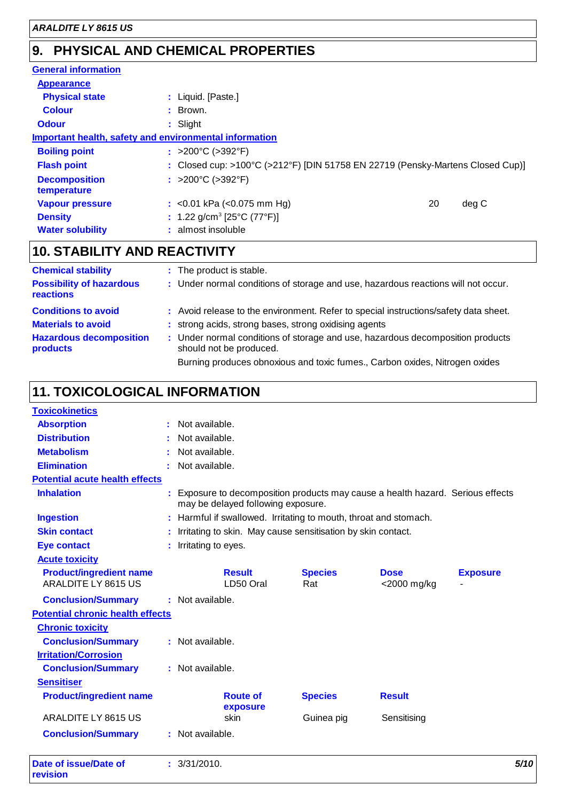# **PHYSICAL AND CHEMICAL PROPERTIES 9.**

| <b>General information</b>                             |                                                                                |    |       |
|--------------------------------------------------------|--------------------------------------------------------------------------------|----|-------|
| <b>Appearance</b>                                      |                                                                                |    |       |
| <b>Physical state</b>                                  | : Liquid. [Paste.]                                                             |    |       |
| <b>Colour</b>                                          | $\therefore$ Brown.                                                            |    |       |
| <b>Odour</b>                                           | $:$ Slight                                                                     |    |       |
| Important health, safety and environmental information |                                                                                |    |       |
| <b>Boiling point</b>                                   | : >200°C (>392°F)                                                              |    |       |
| <b>Flash point</b>                                     | : Closed cup: >100°C (>212°F) [DIN 51758 EN 22719 (Pensky-Martens Closed Cup)] |    |       |
| <b>Decomposition</b><br>temperature                    | : >200°C (>392°F)                                                              |    |       |
| <b>Vapour pressure</b>                                 | : < $0.01$ kPa (< $0.075$ mm Hg)                                               | 20 | deg C |
| <b>Density</b>                                         | : 1.22 g/cm <sup>3</sup> [25 $^{\circ}$ C (77 $^{\circ}$ F)]                   |    |       |
| <b>Water solubility</b>                                | : almost insoluble                                                             |    |       |

# **10. STABILITY AND REACTIVITY**

| <b>Chemical stability</b>                    | : The product is stable.                                                                                  |
|----------------------------------------------|-----------------------------------------------------------------------------------------------------------|
| <b>Possibility of hazardous</b><br>reactions | : Under normal conditions of storage and use, hazardous reactions will not occur.                         |
| <b>Conditions to avoid</b>                   | : Avoid release to the environment. Refer to special instructions/safety data sheet.                      |
| <b>Materials to avoid</b>                    | : strong acids, strong bases, strong oxidising agents                                                     |
| <b>Hazardous decomposition</b><br>products   | : Under normal conditions of storage and use, hazardous decomposition products<br>should not be produced. |
|                                              | Burning produces obnoxious and toxic fumes., Carbon oxides, Nitrogen oxides                               |

# **11. TOXICOLOGICAL INFORMATION**

| <b>Toxicokinetics</b>                                        |                                                                                                                     |                       |                            |                 |
|--------------------------------------------------------------|---------------------------------------------------------------------------------------------------------------------|-----------------------|----------------------------|-----------------|
| <b>Absorption</b>                                            | : Not available.                                                                                                    |                       |                            |                 |
| <b>Distribution</b>                                          | Not available.                                                                                                      |                       |                            |                 |
| <b>Metabolism</b>                                            | Not available.                                                                                                      |                       |                            |                 |
| <b>Elimination</b>                                           | Not available.                                                                                                      |                       |                            |                 |
| <b>Potential acute health effects</b>                        |                                                                                                                     |                       |                            |                 |
| <b>Inhalation</b>                                            | Exposure to decomposition products may cause a health hazard. Serious effects<br>may be delayed following exposure. |                       |                            |                 |
| <b>Ingestion</b>                                             | : Harmful if swallowed. Irritating to mouth, throat and stomach.                                                    |                       |                            |                 |
| <b>Skin contact</b>                                          | : Irritating to skin. May cause sensitisation by skin contact.                                                      |                       |                            |                 |
| <b>Eye contact</b>                                           | : Irritating to eyes.                                                                                               |                       |                            |                 |
| <b>Acute toxicity</b>                                        |                                                                                                                     |                       |                            |                 |
| <b>Product/ingredient name</b><br><b>ARALDITE LY 8615 US</b> | <b>Result</b><br>LD50 Oral                                                                                          | <b>Species</b><br>Rat | <b>Dose</b><br><2000 mg/kg | <b>Exposure</b> |
| <b>Conclusion/Summary</b>                                    | : Not available.                                                                                                    |                       |                            |                 |
| <b>Potential chronic health effects</b>                      |                                                                                                                     |                       |                            |                 |
| <b>Chronic toxicity</b>                                      |                                                                                                                     |                       |                            |                 |
| <b>Conclusion/Summary</b>                                    | : Not available.                                                                                                    |                       |                            |                 |
| <b>Irritation/Corrosion</b>                                  |                                                                                                                     |                       |                            |                 |
| <b>Conclusion/Summary</b>                                    | : Not available.                                                                                                    |                       |                            |                 |
| <b>Sensitiser</b>                                            |                                                                                                                     |                       |                            |                 |
| <b>Product/ingredient name</b>                               | <b>Route of</b><br>exposure                                                                                         | <b>Species</b>        | <b>Result</b>              |                 |
| ARALDITE LY 8615 US                                          | skin                                                                                                                | Guinea pig            | Sensitising                |                 |
| <b>Conclusion/Summary</b>                                    | : Not available.                                                                                                    |                       |                            |                 |
| Date of issue/Date of<br>revision                            | : 3/31/2010.                                                                                                        |                       |                            | 5/10            |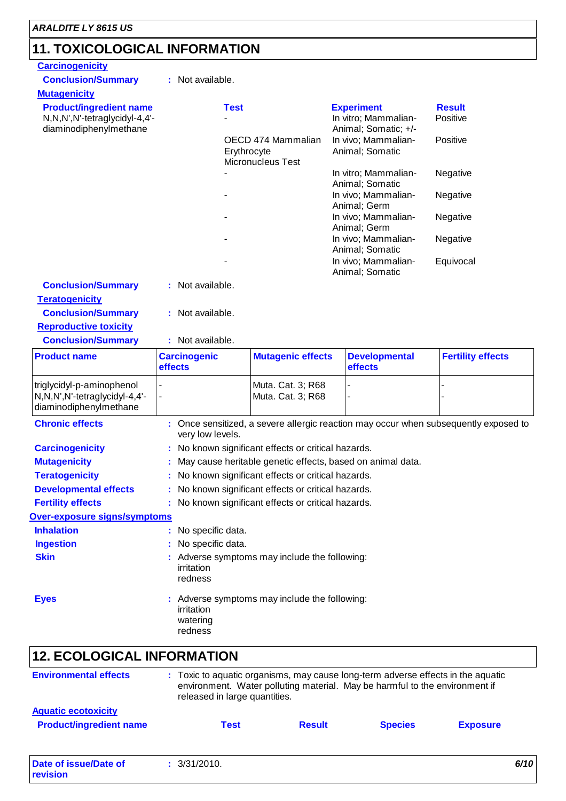$\overline{1}$ 

# **11. TOXICOLOGICAL INFORMATION**

| <b>Carcinogenicity</b>                                                                    |                                                                                    |                                                        |                                                                                                                                                                 |                                                                                      |  |
|-------------------------------------------------------------------------------------------|------------------------------------------------------------------------------------|--------------------------------------------------------|-----------------------------------------------------------------------------------------------------------------------------------------------------------------|--------------------------------------------------------------------------------------|--|
| <b>Conclusion/Summary</b>                                                                 | : Not available.                                                                   |                                                        |                                                                                                                                                                 |                                                                                      |  |
| <b>Mutagenicity</b>                                                                       |                                                                                    |                                                        |                                                                                                                                                                 |                                                                                      |  |
| <b>Product/ingredient name</b><br>N,N,N',N'-tetraglycidyl-4,4'-<br>diaminodiphenylmethane | <b>Test</b>                                                                        |                                                        | <b>Experiment</b><br>In vitro; Mammalian-<br>Animal; Somatic; +/-                                                                                               | <b>Result</b><br>Positive                                                            |  |
|                                                                                           |                                                                                    | OECD 474 Mammalian<br>Erythrocyte<br>Micronucleus Test | In vivo; Mammalian-<br>Animal; Somatic                                                                                                                          | Positive                                                                             |  |
|                                                                                           |                                                                                    |                                                        | In vitro; Mammalian-<br>Animal; Somatic                                                                                                                         | Negative                                                                             |  |
|                                                                                           |                                                                                    |                                                        | In vivo; Mammalian-<br>Animal; Germ                                                                                                                             | Negative                                                                             |  |
|                                                                                           |                                                                                    |                                                        | In vivo; Mammalian-<br>Animal; Germ                                                                                                                             | Negative                                                                             |  |
|                                                                                           |                                                                                    |                                                        | In vivo; Mammalian-                                                                                                                                             | Negative                                                                             |  |
|                                                                                           |                                                                                    |                                                        | Animal; Somatic<br>In vivo; Mammalian-                                                                                                                          | Equivocal                                                                            |  |
| <b>Conclusion/Summary</b>                                                                 | : Not available.                                                                   |                                                        | Animal; Somatic                                                                                                                                                 |                                                                                      |  |
| <b>Teratogenicity</b>                                                                     |                                                                                    |                                                        |                                                                                                                                                                 |                                                                                      |  |
| <b>Conclusion/Summary</b>                                                                 | : Not available.                                                                   |                                                        |                                                                                                                                                                 |                                                                                      |  |
| <b>Reproductive toxicity</b>                                                              |                                                                                    |                                                        |                                                                                                                                                                 |                                                                                      |  |
| <b>Conclusion/Summary</b>                                                                 | : Not available.                                                                   |                                                        |                                                                                                                                                                 |                                                                                      |  |
| <b>Product name</b>                                                                       | <b>Carcinogenic</b><br>effects                                                     | <b>Mutagenic effects</b>                               | <b>Developmental</b><br>effects                                                                                                                                 | <b>Fertility effects</b>                                                             |  |
| triglycidyl-p-aminophenol<br>N,N,N',N'-tetraglycidyl-4,4'-<br>diaminodiphenylmethane      |                                                                                    | Muta. Cat. 3; R68<br>Muta. Cat. 3; R68                 |                                                                                                                                                                 |                                                                                      |  |
| <b>Chronic effects</b>                                                                    | very low levels.                                                                   |                                                        |                                                                                                                                                                 | : Once sensitized, a severe allergic reaction may occur when subsequently exposed to |  |
| <b>Carcinogenicity</b>                                                                    |                                                                                    | : No known significant effects or critical hazards.    |                                                                                                                                                                 |                                                                                      |  |
| <b>Mutagenicity</b>                                                                       |                                                                                    |                                                        | May cause heritable genetic effects, based on animal data.                                                                                                      |                                                                                      |  |
| <b>Teratogenicity</b>                                                                     |                                                                                    | : No known significant effects or critical hazards.    |                                                                                                                                                                 |                                                                                      |  |
| <b>Developmental effects</b>                                                              | : No known significant effects or critical hazards.                                |                                                        |                                                                                                                                                                 |                                                                                      |  |
| <b>Fertility effects</b>                                                                  |                                                                                    | : No known significant effects or critical hazards.    |                                                                                                                                                                 |                                                                                      |  |
| Over-exposure signs/symptoms                                                              |                                                                                    |                                                        |                                                                                                                                                                 |                                                                                      |  |
| <b>Inhalation</b>                                                                         | : No specific data.                                                                |                                                        |                                                                                                                                                                 |                                                                                      |  |
| <b>Ingestion</b>                                                                          | No specific data.                                                                  |                                                        |                                                                                                                                                                 |                                                                                      |  |
| <b>Skin</b>                                                                               | : Adverse symptoms may include the following:<br>irritation<br>redness             |                                                        |                                                                                                                                                                 |                                                                                      |  |
| <b>Eyes</b>                                                                               | : Adverse symptoms may include the following:<br>irritation<br>watering<br>redness |                                                        |                                                                                                                                                                 |                                                                                      |  |
| <b>12. ECOLOGICAL INFORMATION</b>                                                         |                                                                                    |                                                        |                                                                                                                                                                 |                                                                                      |  |
| <b>Environmental effects</b>                                                              | released in large quantities.                                                      |                                                        | : Toxic to aquatic organisms, may cause long-term adverse effects in the aquatic<br>environment. Water polluting material. May be harmful to the environment if |                                                                                      |  |
| <b>Aquatic ecotoxicity</b>                                                                |                                                                                    |                                                        |                                                                                                                                                                 |                                                                                      |  |
| <b>Product/ingredient name</b>                                                            | <b>Test</b>                                                                        | <b>Result</b>                                          | <b>Species</b>                                                                                                                                                  | <b>Exposure</b>                                                                      |  |
|                                                                                           |                                                                                    |                                                        |                                                                                                                                                                 |                                                                                      |  |

| Date of issue/Date of | 3/31/2010. | 6/10 |
|-----------------------|------------|------|
| revision              |            |      |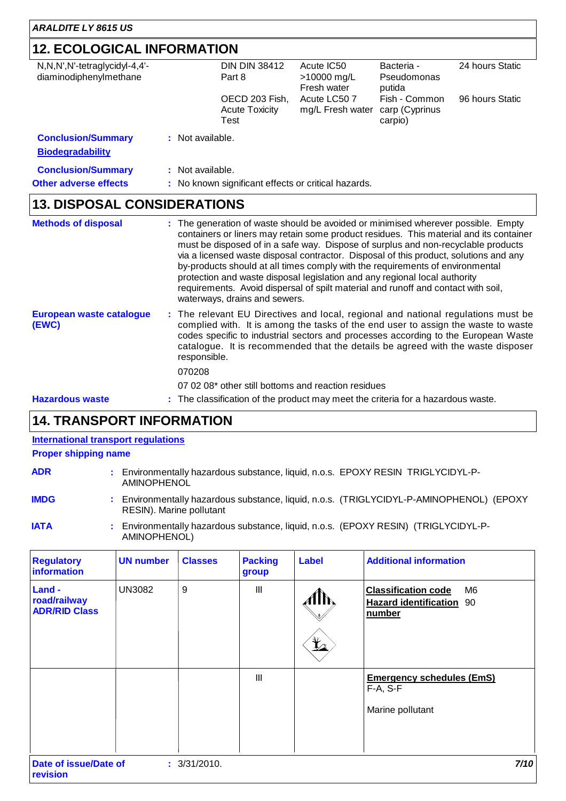# **12. ECOLOGICAL INFORMATION**

| N,N,N',N'-tetraglycidyl-4,4'-<br>diaminodiphenylmethane |                  | <b>DIN DIN 38412</b><br>Part 8                      | Acute IC50<br>>10000 mg/L<br>Fresh water | Bacteria -<br>Pseudomonas<br>putida        | 24 hours Static |
|---------------------------------------------------------|------------------|-----------------------------------------------------|------------------------------------------|--------------------------------------------|-----------------|
|                                                         |                  | OECD 203 Fish,<br><b>Acute Toxicity</b><br>Test     | Acute LC50 7<br>mg/L Fresh water         | Fish - Common<br>carp (Cyprinus<br>carpio) | 96 hours Static |
| <b>Conclusion/Summary</b><br><b>Biodegradability</b>    | : Not available. |                                                     |                                          |                                            |                 |
| <b>Conclusion/Summary</b>                               | : Not available. |                                                     |                                          |                                            |                 |
| <b>Other adverse effects</b>                            |                  | : No known significant effects or critical hazards. |                                          |                                            |                 |
| <b>13. DISPOSAL CONSIDERATIONS</b>                      |                  |                                                     |                                          |                                            |                 |

| <b>Methods of disposal</b>        | : The generation of waste should be avoided or minimised wherever possible. Empty<br>containers or liners may retain some product residues. This material and its container<br>must be disposed of in a safe way. Dispose of surplus and non-recyclable products<br>via a licensed waste disposal contractor. Disposal of this product, solutions and any<br>by-products should at all times comply with the requirements of environmental<br>protection and waste disposal legislation and any regional local authority<br>requirements. Avoid dispersal of spilt material and runoff and contact with soil,<br>waterways, drains and sewers. |
|-----------------------------------|------------------------------------------------------------------------------------------------------------------------------------------------------------------------------------------------------------------------------------------------------------------------------------------------------------------------------------------------------------------------------------------------------------------------------------------------------------------------------------------------------------------------------------------------------------------------------------------------------------------------------------------------|
| European waste catalogue<br>(EWC) | : The relevant EU Directives and local, regional and national regulations must be<br>complied with. It is among the tasks of the end user to assign the waste to waste<br>codes specific to industrial sectors and processes according to the European Waste<br>catalogue. It is recommended that the details be agreed with the waste disposer<br>responsible.                                                                                                                                                                                                                                                                                |
|                                   | 070208                                                                                                                                                                                                                                                                                                                                                                                                                                                                                                                                                                                                                                         |
|                                   | 07 02 08* other still bottoms and reaction residues                                                                                                                                                                                                                                                                                                                                                                                                                                                                                                                                                                                            |
| <b>Hazardous waste</b>            | : The classification of the product may meet the criteria for a hazardous waste.                                                                                                                                                                                                                                                                                                                                                                                                                                                                                                                                                               |

### **14. TRANSPORT INFORMATION**

#### **International transport regulations**

### **Proper shipping name**

| <b>ADR</b>  | Environmentally hazardous substance, liquid, n.o.s. EPOXY RESIN TRIGLYCIDYL-P-<br>AMINOPHENOL                        |
|-------------|----------------------------------------------------------------------------------------------------------------------|
| <b>IMDG</b> | : Environmentally hazardous substance, liquid, n.o.s. (TRIGLYCIDYL-P-AMINOPHENOL) (EPOXY<br>RESIN). Marine pollutant |

**IATA :** Environmentally hazardous substance, liquid, n.o.s. (EPOXY RESIN) (TRIGLYCIDYL-P-AMINOPHENOL)

| <b>Regulatory</b><br>information               | <b>UN number</b> | <b>Classes</b> | <b>Packing</b><br>group | <b>Label</b>   | <b>Additional information</b>                                                    |
|------------------------------------------------|------------------|----------------|-------------------------|----------------|----------------------------------------------------------------------------------|
| Land -<br>road/railway<br><b>ADR/RID Class</b> | <b>UN3082</b>    | 9              | Ш                       | $\mathbf{Y}_2$ | <b>Classification code</b><br>M6<br><b>Hazard identification</b><br>90<br>number |
|                                                |                  |                | III                     |                | <b>Emergency schedules (EmS)</b><br>$F-A, S-F$<br>Marine pollutant               |
| Date of issue/Date of<br>revision              |                  | : 3/31/2010.   |                         |                | 7/10                                                                             |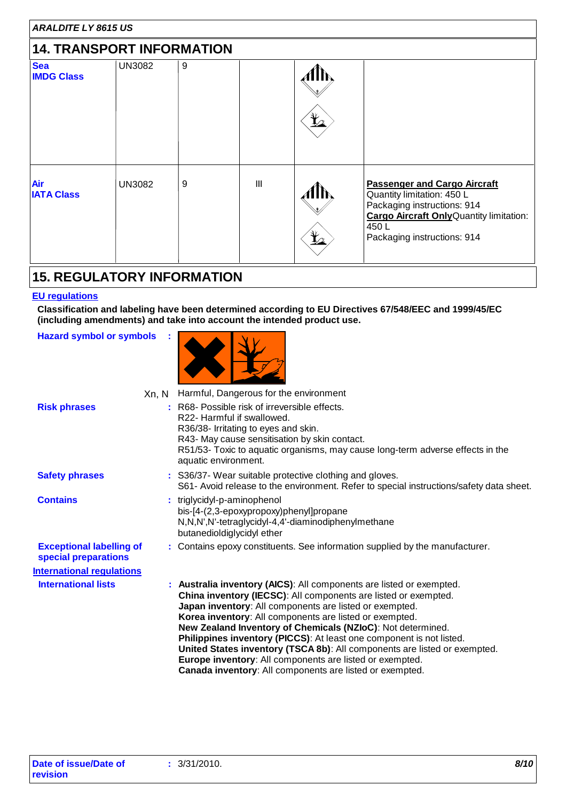| <b>ARALDITE LY 8615 US</b>       |               |   |     |                                       |                                                                                                                                                                                            |
|----------------------------------|---------------|---|-----|---------------------------------------|--------------------------------------------------------------------------------------------------------------------------------------------------------------------------------------------|
| <b>14. TRANSPORT INFORMATION</b> |               |   |     |                                       |                                                                                                                                                                                            |
| <b>Sea</b><br><b>IMDG Class</b>  | <b>UN3082</b> | 9 |     | $\mathbf{r}$                          |                                                                                                                                                                                            |
| Air<br><b>IATA Class</b>         | <b>UN3082</b> | 9 | III | $\mathbf{\mathbf{\underline{Y}}}_{2}$ | <b>Passenger and Cargo Aircraft</b><br>Quantity limitation: 450 L<br>Packaging instructions: 914<br><b>Cargo Aircraft Only Quantity limitation:</b><br>450L<br>Packaging instructions: 914 |

### **15. REGULATORY INFORMATION**

**:**

### **EU regulations**

**Classification and labeling have been determined according to EU Directives 67/548/EEC and 1999/45/EC (including amendments) and take into account the intended product use.**

**Hazard symbol or symbols**



|                                                         | Xn, N | Harmful, Dangerous for the environment                                                                                                                                                                                                                                                                                                                                                                                                                                                                                                                                                                    |
|---------------------------------------------------------|-------|-----------------------------------------------------------------------------------------------------------------------------------------------------------------------------------------------------------------------------------------------------------------------------------------------------------------------------------------------------------------------------------------------------------------------------------------------------------------------------------------------------------------------------------------------------------------------------------------------------------|
| <b>Risk phrases</b>                                     |       | : R68- Possible risk of irreversible effects.<br>R22- Harmful if swallowed.<br>R36/38- Irritating to eyes and skin.<br>R43- May cause sensitisation by skin contact.<br>R51/53- Toxic to aquatic organisms, may cause long-term adverse effects in the<br>aquatic environment.                                                                                                                                                                                                                                                                                                                            |
| <b>Safety phrases</b>                                   |       | : S36/37- Wear suitable protective clothing and gloves.<br>S61- Avoid release to the environment. Refer to special instructions/safety data sheet.                                                                                                                                                                                                                                                                                                                                                                                                                                                        |
| <b>Contains</b>                                         |       | triglycidyl-p-aminophenol<br>bis-[4-(2,3-epoxypropoxy)phenyl]propane<br>N,N,N',N'-tetraglycidyl-4,4'-diaminodiphenylmethane<br>butanedioldiglycidyl ether                                                                                                                                                                                                                                                                                                                                                                                                                                                 |
| <b>Exceptional labelling of</b><br>special preparations |       | : Contains epoxy constituents. See information supplied by the manufacturer.                                                                                                                                                                                                                                                                                                                                                                                                                                                                                                                              |
| <b>International regulations</b>                        |       |                                                                                                                                                                                                                                                                                                                                                                                                                                                                                                                                                                                                           |
| <b>International lists</b>                              |       | : Australia inventory (AICS): All components are listed or exempted.<br>China inventory (IECSC): All components are listed or exempted.<br>Japan inventory: All components are listed or exempted.<br>Korea inventory: All components are listed or exempted.<br>New Zealand Inventory of Chemicals (NZIoC): Not determined.<br>Philippines inventory (PICCS): At least one component is not listed.<br>United States inventory (TSCA 8b): All components are listed or exempted.<br>Europe inventory: All components are listed or exempted.<br>Canada inventory: All components are listed or exempted. |